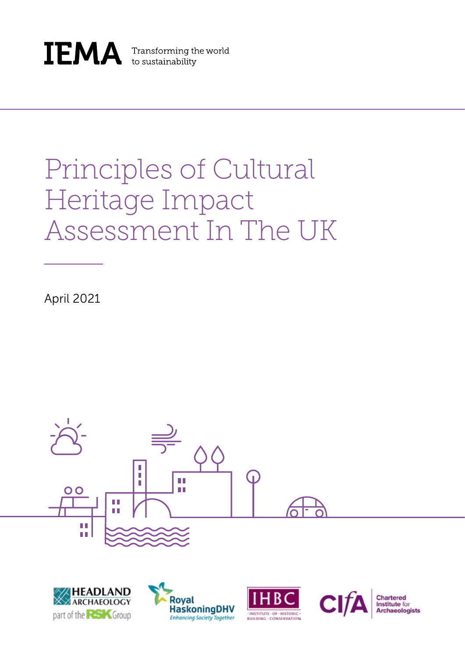

**IEMA** Transforming the world to sustainability

# Principles of Cultural Heritage Impact Assessment In The UK

April 2021









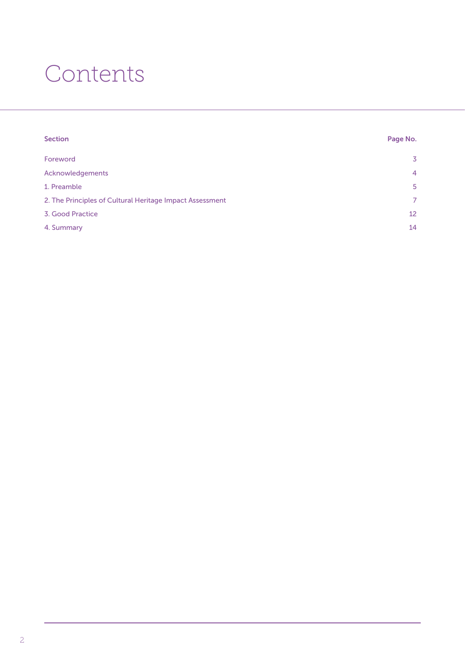## Contents

| <b>Section</b>                                           | Page No. |
|----------------------------------------------------------|----------|
| Foreword                                                 | 3        |
| Acknowledgements                                         | 4        |
| 1. Preamble                                              | 5        |
| 2. The Principles of Cultural Heritage Impact Assessment |          |
| 3. Good Practice                                         | 12       |
| 4. Summary                                               | 14       |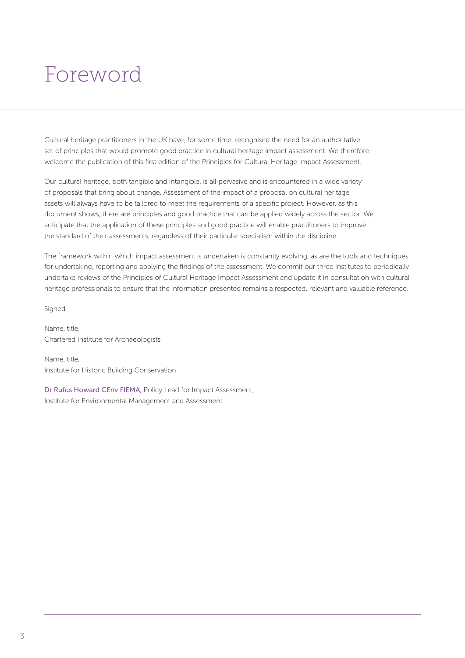### Foreword

Cultural heritage practitioners in the UK have, for some time, recognised the need for an authoritative set of principles that would promote good practice in cultural heritage impact assessment. We therefore welcome the publication of this first edition of the Principles for Cultural Heritage Impact Assessment.

Our cultural heritage, both tangible and intangible, is all-pervasive and is encountered in a wide variety of proposals that bring about change. Assessment of the impact of a proposal on cultural heritage assets will always have to be tailored to meet the requirements of a specific project. However, as this document shows, there are principles and good practice that can be applied widely across the sector. We anticipate that the application of these principles and good practice will enable practitioners to improve the standard of their assessments, regardless of their particular specialism within the discipline.

The framework within which impact assessment is undertaken is constantly evolving, as are the tools and techniques for undertaking, reporting and applying the findings of the assessment. We commit our three Institutes to periodically undertake reviews of the Principles of Cultural Heritage Impact Assessment and update it in consultation with cultural heritage professionals to ensure that the information presented remains a respected, relevant and valuable reference.

Signed

Name, title, Chartered Institute for Archaeologists

Name, title, Institute for Historic Building Conservation

Dr Rufus Howard CEnv FIEMA, Policy Lead for Impact Assessment, Institute for Environmental Management and Assessment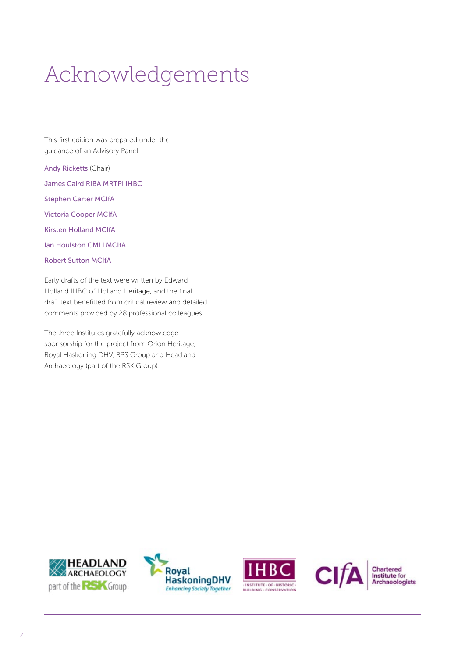# Acknowledgements

This first edition was prepared under the guidance of an Advisory Panel:

Andy Ricketts (Chair) James Caird RIBA MRTPI IHBC Stephen Carter MCIfA Victoria Cooper MCIfA Kirsten Holland MCIfA Ian Houlston CMLI MCIfA Robert Sutton MCIfA

Early drafts of the text were written by Edward Holland IHBC of Holland Heritage, and the final draft text benefitted from critical review and detailed comments provided by 28 professional colleagues.

The three Institutes gratefully acknowledge sponsorship for the project from Orion Heritage, Royal Haskoning DHV, RPS Group and Headland Archaeology (part of the RSK Group).









Chartered<br>Institute for<br>Archaeologists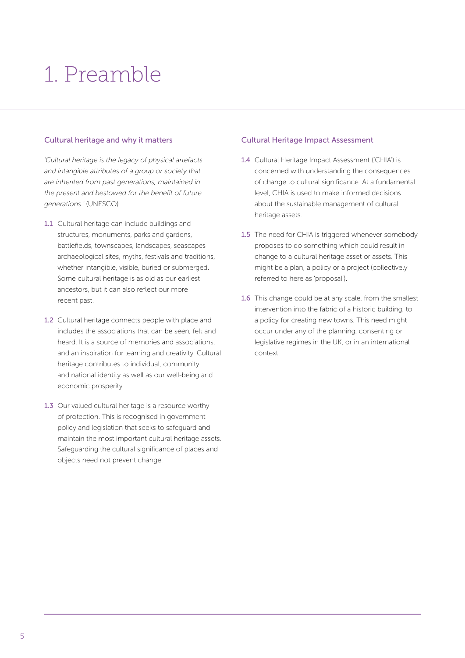# 1. Preamble

#### Cultural heritage and why it matters

*'Cultural heritage is the legacy of physical artefacts and intangible attributes of a group or society that are inherited from past generations, maintained in the present and bestowed for the benefit of future generations.'* (UNESCO)

- 1.1 Cultural heritage can include buildings and structures, monuments, parks and gardens, battlefields, townscapes, landscapes, seascapes archaeological sites, myths, festivals and traditions, whether intangible, visible, buried or submerged. Some cultural heritage is as old as our earliest ancestors, but it can also reflect our more recent past.
- 1.2 Cultural heritage connects people with place and includes the associations that can be seen, felt and heard. It is a source of memories and associations, and an inspiration for learning and creativity. Cultural heritage contributes to individual, community and national identity as well as our well-being and economic prosperity.
- 1.3 Our valued cultural heritage is a resource worthy of protection. This is recognised in government policy and legislation that seeks to safeguard and maintain the most important cultural heritage assets. Safeguarding the cultural significance of places and objects need not prevent change.

#### Cultural Heritage Impact Assessment

- 1.4 Cultural Heritage Impact Assessment ('CHIA') is concerned with understanding the consequences of change to cultural significance. At a fundamental level, CHIA is used to make informed decisions about the sustainable management of cultural heritage assets.
- 1.5 The need for CHIA is triggered whenever somebody proposes to do something which could result in change to a cultural heritage asset or assets. This might be a plan, a policy or a project (collectively referred to here as 'proposal').
- 1.6 This change could be at any scale, from the smallest intervention into the fabric of a historic building, to a policy for creating new towns. This need might occur under any of the planning, consenting or legislative regimes in the UK, or in an international context.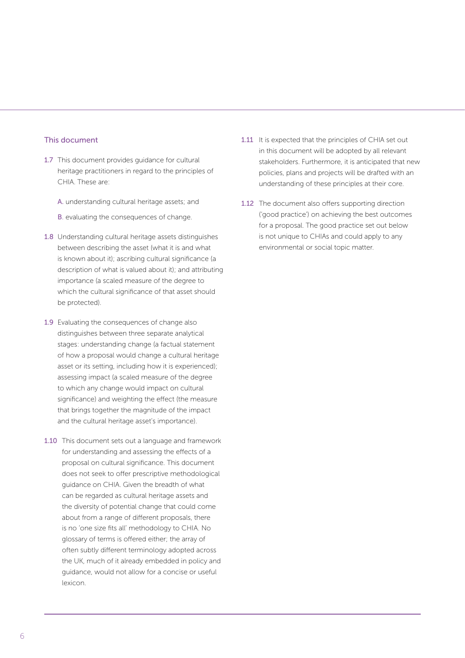#### This document

- 1.7 This document provides quidance for cultural heritage practitioners in regard to the principles of CHIA. These are:
	- A. understanding cultural heritage assets; and
	- B. evaluating the consequences of change.
- 1.8 Understanding cultural heritage assets distinguishes between describing the asset (what it is and what is known about it); ascribing cultural significance (a description of what is valued about it); and attributing importance (a scaled measure of the degree to which the cultural significance of that asset should be protected).
- 1.9 Evaluating the consequences of change also distinguishes between three separate analytical stages: understanding change (a factual statement of how a proposal would change a cultural heritage asset or its setting, including how it is experienced); assessing impact (a scaled measure of the degree to which any change would impact on cultural significance) and weighting the effect (the measure that brings together the magnitude of the impact and the cultural heritage asset's importance).
- 1.10 This document sets out a language and framework for understanding and assessing the effects of a proposal on cultural significance. This document does not seek to offer prescriptive methodological guidance on CHIA. Given the breadth of what can be regarded as cultural heritage assets and the diversity of potential change that could come about from a range of different proposals, there is no 'one size fits all' methodology to CHIA. No glossary of terms is offered either; the array of often subtly different terminology adopted across the UK, much of it already embedded in policy and guidance, would not allow for a concise or useful lexicon.
- 1.11 It is expected that the principles of CHIA set out in this document will be adopted by all relevant stakeholders. Furthermore, it is anticipated that new policies, plans and projects will be drafted with an understanding of these principles at their core.
- 1.12 The document also offers supporting direction ('good practice') on achieving the best outcomes for a proposal. The good practice set out below is not unique to CHIAs and could apply to any environmental or social topic matter.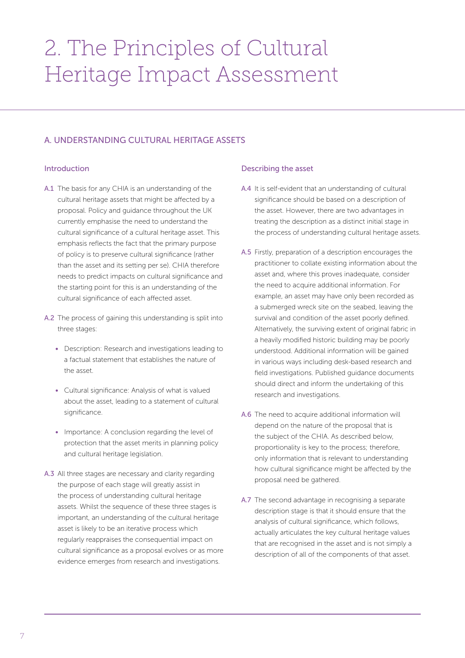## 2. The Principles of Cultural Heritage Impact Assessment

### A. UNDERSTANDING CULTURAL HERITAGE ASSETS

#### Introduction

- A.1 The basis for any CHIA is an understanding of the cultural heritage assets that might be affected by a proposal. Policy and guidance throughout the UK currently emphasise the need to understand the cultural significance of a cultural heritage asset. This emphasis reflects the fact that the primary purpose of policy is to preserve cultural significance (rather than the asset and its setting per se). CHIA therefore needs to predict impacts on cultural significance and the starting point for this is an understanding of the cultural significance of each affected asset.
- A.2 The process of gaining this understanding is split into three stages:
	- Description: Research and investigations leading to a factual statement that establishes the nature of the asset.
	- Cultural significance: Analysis of what is valued about the asset, leading to a statement of cultural significance.
	- Importance: A conclusion regarding the level of protection that the asset merits in planning policy and cultural heritage legislation.
- A.3 All three stages are necessary and clarity regarding the purpose of each stage will greatly assist in the process of understanding cultural heritage assets. Whilst the sequence of these three stages is important, an understanding of the cultural heritage asset is likely to be an iterative process which regularly reappraises the consequential impact on cultural significance as a proposal evolves or as more evidence emerges from research and investigations.

#### Describing the asset

- A.4 It is self-evident that an understanding of cultural significance should be based on a description of the asset. However, there are two advantages in treating the description as a distinct initial stage in the process of understanding cultural heritage assets.
- A.5 Firstly, preparation of a description encourages the practitioner to collate existing information about the asset and, where this proves inadequate, consider the need to acquire additional information. For example, an asset may have only been recorded as a submerged wreck site on the seabed, leaving the survival and condition of the asset poorly defined. Alternatively, the surviving extent of original fabric in a heavily modified historic building may be poorly understood. Additional information will be gained in various ways including desk-based research and field investigations. Published guidance documents should direct and inform the undertaking of this research and investigations.
- A.6 The need to acquire additional information will depend on the nature of the proposal that is the subject of the CHIA. As described below, proportionality is key to the process; therefore, only information that is relevant to understanding how cultural significance might be affected by the proposal need be gathered.
- A.7 The second advantage in recognising a separate description stage is that it should ensure that the analysis of cultural significance, which follows, actually articulates the key cultural heritage values that are recognised in the asset and is not simply a description of all of the components of that asset.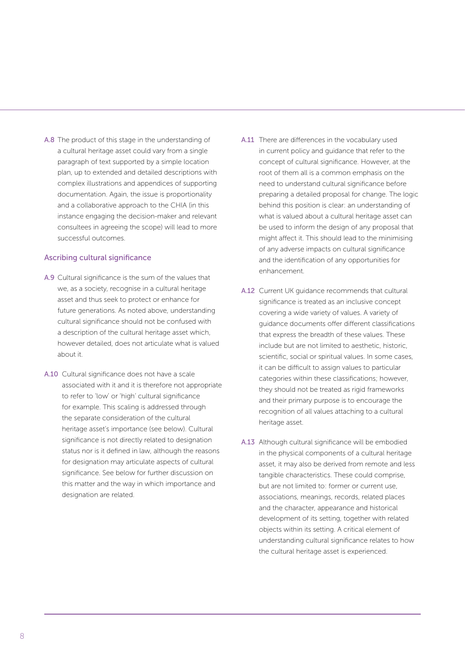A.8 The product of this stage in the understanding of a cultural heritage asset could vary from a single paragraph of text supported by a simple location plan, up to extended and detailed descriptions with complex illustrations and appendices of supporting documentation. Again, the issue is proportionality and a collaborative approach to the CHIA (in this instance engaging the decision-maker and relevant consultees in agreeing the scope) will lead to more successful outcomes.

#### Ascribing cultural significance

- A.9 Cultural significance is the sum of the values that we, as a society, recognise in a cultural heritage asset and thus seek to protect or enhance for future generations. As noted above, understanding cultural significance should not be confused with a description of the cultural heritage asset which, however detailed, does not articulate what is valued about it.
- A.10 Cultural significance does not have a scale associated with it and it is therefore not appropriate to refer to 'low' or 'high' cultural significance for example. This scaling is addressed through the separate consideration of the cultural heritage asset's importance (see below). Cultural significance is not directly related to designation status nor is it defined in law, although the reasons for designation may articulate aspects of cultural significance. See below for further discussion on this matter and the way in which importance and designation are related.
- A.11 There are differences in the vocabulary used in current policy and guidance that refer to the concept of cultural significance. However, at the root of them all is a common emphasis on the need to understand cultural significance before preparing a detailed proposal for change. The logic behind this position is clear: an understanding of what is valued about a cultural heritage asset can be used to inform the design of any proposal that might affect it. This should lead to the minimising of any adverse impacts on cultural significance and the identification of any opportunities for enhancement.
- A.12 Current UK guidance recommends that cultural significance is treated as an inclusive concept covering a wide variety of values. A variety of guidance documents offer different classifications that express the breadth of these values. These include but are not limited to aesthetic, historic, scientific, social or spiritual values. In some cases, it can be difficult to assign values to particular categories within these classifications; however, they should not be treated as rigid frameworks and their primary purpose is to encourage the recognition of all values attaching to a cultural heritage asset.
- A.13 Although cultural significance will be embodied in the physical components of a cultural heritage asset, it may also be derived from remote and less tangible characteristics. These could comprise, but are not limited to: former or current use, associations, meanings, records, related places and the character, appearance and historical development of its setting, together with related objects within its setting. A critical element of understanding cultural significance relates to how the cultural heritage asset is experienced.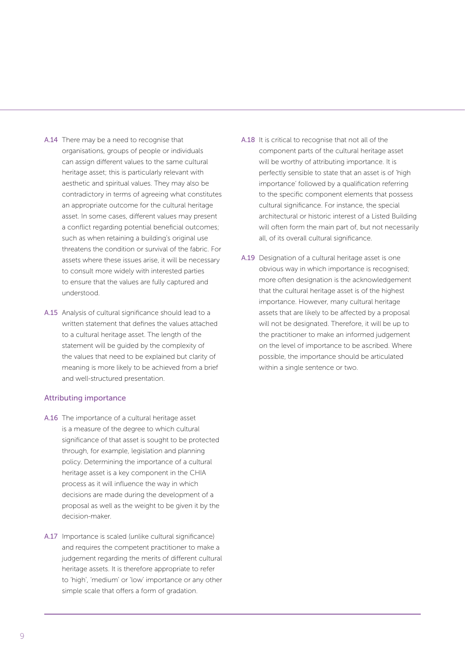- A.14 There may be a need to recognise that organisations, groups of people or individuals can assign different values to the same cultural heritage asset; this is particularly relevant with aesthetic and spiritual values. They may also be contradictory in terms of agreeing what constitutes an appropriate outcome for the cultural heritage asset. In some cases, different values may present a conflict regarding potential beneficial outcomes; such as when retaining a building's original use threatens the condition or survival of the fabric. For assets where these issues arise, it will be necessary to consult more widely with interested parties to ensure that the values are fully captured and understood.
- A.15 Analysis of cultural significance should lead to a written statement that defines the values attached to a cultural heritage asset. The length of the statement will be guided by the complexity of the values that need to be explained but clarity of meaning is more likely to be achieved from a brief and well-structured presentation.

#### Attributing importance

- A.16 The importance of a cultural heritage asset is a measure of the degree to which cultural significance of that asset is sought to be protected through, for example, legislation and planning policy. Determining the importance of a cultural heritage asset is a key component in the CHIA process as it will influence the way in which decisions are made during the development of a proposal as well as the weight to be given it by the decision-maker.
- A.17 Importance is scaled (unlike cultural significance) and requires the competent practitioner to make a judgement regarding the merits of different cultural heritage assets. It is therefore appropriate to refer to 'high', 'medium' or 'low' importance or any other simple scale that offers a form of gradation.
- A.18 It is critical to recognise that not all of the component parts of the cultural heritage asset will be worthy of attributing importance. It is perfectly sensible to state that an asset is of 'high importance' followed by a qualification referring to the specific component elements that possess cultural significance. For instance, the special architectural or historic interest of a Listed Building will often form the main part of, but not necessarily all, of its overall cultural significance.
- A.19 Designation of a cultural heritage asset is one obvious way in which importance is recognised; more often designation is the acknowledgement that the cultural heritage asset is of the highest importance. However, many cultural heritage assets that are likely to be affected by a proposal will not be designated. Therefore, it will be up to the practitioner to make an informed judgement on the level of importance to be ascribed. Where possible, the importance should be articulated within a single sentence or two.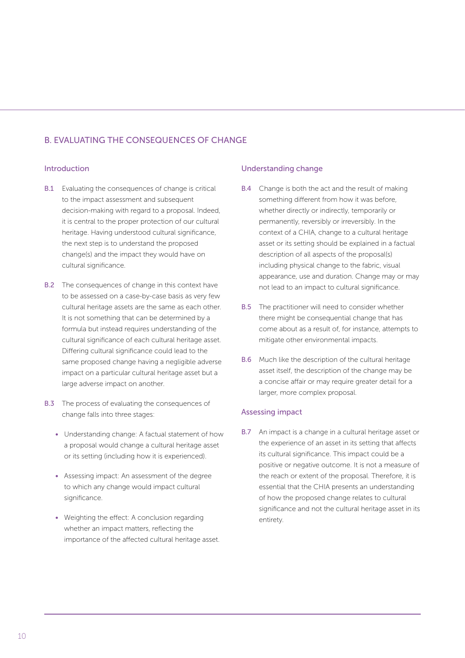### B. EVALUATING THE CONSEQUENCES OF CHANGE

#### Introduction

- **B.1** Evaluating the consequences of change is critical to the impact assessment and subsequent decision-making with regard to a proposal. Indeed, it is central to the proper protection of our cultural heritage. Having understood cultural significance, the next step is to understand the proposed change(s) and the impact they would have on cultural significance.
- B.2 The consequences of change in this context have to be assessed on a case-by-case basis as very few cultural heritage assets are the same as each other. It is not something that can be determined by a formula but instead requires understanding of the cultural significance of each cultural heritage asset. Differing cultural significance could lead to the same proposed change having a negligible adverse impact on a particular cultural heritage asset but a large adverse impact on another.
- **B.3** The process of evaluating the consequences of change falls into three stages:
	- Understanding change: A factual statement of how a proposal would change a cultural heritage asset or its setting (including how it is experienced).
	- Assessing impact: An assessment of the degree to which any change would impact cultural significance.
	- Weighting the effect: A conclusion regarding whether an impact matters, reflecting the importance of the affected cultural heritage asset.

#### Understanding change

- B.4 Change is both the act and the result of making something different from how it was before, whether directly or indirectly, temporarily or permanently, reversibly or irreversibly. In the context of a CHIA, change to a cultural heritage asset or its setting should be explained in a factual description of all aspects of the proposal(s) including physical change to the fabric, visual appearance, use and duration. Change may or may not lead to an impact to cultural significance.
- B.5 The practitioner will need to consider whether there might be consequential change that has come about as a result of, for instance, attempts to mitigate other environmental impacts.
- B.6 Much like the description of the cultural heritage asset itself, the description of the change may be a concise affair or may require greater detail for a larger, more complex proposal.

#### Assessing impact

B.7 An impact is a change in a cultural heritage asset or the experience of an asset in its setting that affects its cultural significance. This impact could be a positive or negative outcome. It is not a measure of the reach or extent of the proposal. Therefore, it is essential that the CHIA presents an understanding of how the proposed change relates to cultural significance and not the cultural heritage asset in its entirety.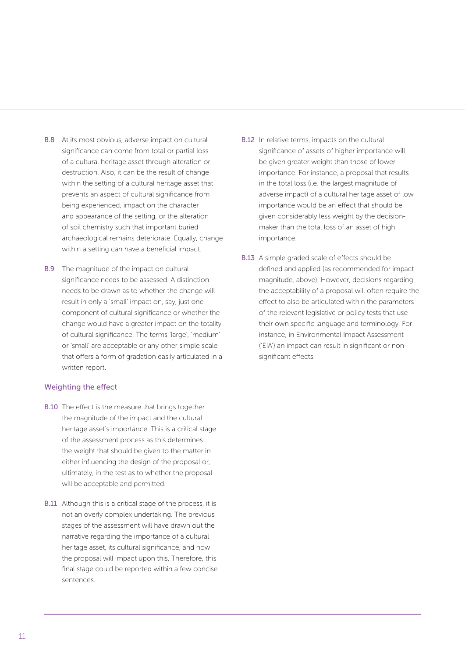- B.8 At its most obvious, adverse impact on cultural significance can come from total or partial loss of a cultural heritage asset through alteration or destruction. Also, it can be the result of change within the setting of a cultural heritage asset that prevents an aspect of cultural significance from being experienced, impact on the character and appearance of the setting, or the alteration of soil chemistry such that important buried archaeological remains deteriorate. Equally, change within a setting can have a beneficial impact.
- B.9 The magnitude of the impact on cultural significance needs to be assessed. A distinction needs to be drawn as to whether the change will result in only a 'small' impact on, say, just one component of cultural significance or whether the change would have a greater impact on the totality of cultural significance. The terms 'large', 'medium' or 'small' are acceptable or any other simple scale that offers a form of gradation easily articulated in a written report.

#### Weighting the effect

- B.10 The effect is the measure that brings together the magnitude of the impact and the cultural heritage asset's importance. This is a critical stage of the assessment process as this determines the weight that should be given to the matter in either influencing the design of the proposal or, ultimately, in the test as to whether the proposal will be acceptable and permitted.
- **B.11** Although this is a critical stage of the process, it is not an overly complex undertaking. The previous stages of the assessment will have drawn out the narrative regarding the importance of a cultural heritage asset, its cultural significance, and how the proposal will impact upon this. Therefore, this final stage could be reported within a few concise sentences.
- B.12 In relative terms, impacts on the cultural significance of assets of higher importance will be given greater weight than those of lower importance. For instance, a proposal that results in the total loss (i.e. the largest magnitude of adverse impact) of a cultural heritage asset of low importance would be an effect that should be given considerably less weight by the decisionmaker than the total loss of an asset of high importance.
- B.13 A simple graded scale of effects should be defined and applied (as recommended for impact magnitude, above). However, decisions regarding the acceptability of a proposal will often require the effect to also be articulated within the parameters of the relevant legislative or policy tests that use their own specific language and terminology. For instance, in Environmental Impact Assessment ('EIA') an impact can result in significant or nonsignificant effects.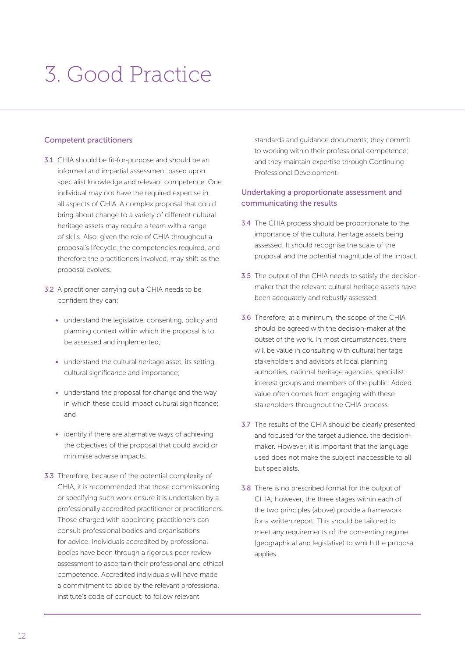### 3. Good Practice

#### Competent practitioners

- 3.1 CHIA should be fit-for-purpose and should be an informed and impartial assessment based upon specialist knowledge and relevant competence. One individual may not have the required expertise in all aspects of CHIA. A complex proposal that could bring about change to a variety of different cultural heritage assets may require a team with a range of skills. Also, given the role of CHIA throughout a proposal's lifecycle, the competencies required, and therefore the practitioners involved, may shift as the proposal evolves.
- 3.2 A practitioner carrying out a CHIA needs to be confident they can:
	- understand the legislative, consenting, policy and planning context within which the proposal is to be assessed and implemented;
	- understand the cultural heritage asset, its setting, cultural significance and importance;
	- understand the proposal for change and the way in which these could impact cultural significance; and
	- identify if there are alternative ways of achieving the objectives of the proposal that could avoid or minimise adverse impacts.
- 3.3 Therefore, because of the potential complexity of CHIA, it is recommended that those commissioning or specifying such work ensure it is undertaken by a professionally accredited practitioner or practitioners. Those charged with appointing practitioners can consult professional bodies and organisations for advice. Individuals accredited by professional bodies have been through a rigorous peer-review assessment to ascertain their professional and ethical competence. Accredited individuals will have made a commitment to abide by the relevant professional institute's code of conduct; to follow relevant

standards and guidance documents; they commit to working within their professional competence; and they maintain expertise through Continuing Professional Development.

### Undertaking a proportionate assessment and communicating the results

- 3.4 The CHIA process should be proportionate to the importance of the cultural heritage assets being assessed. It should recognise the scale of the proposal and the potential magnitude of the impact.
- 3.5 The output of the CHIA needs to satisfy the decisionmaker that the relevant cultural heritage assets have been adequately and robustly assessed.
- 3.6 Therefore, at a minimum, the scope of the CHIA should be agreed with the decision-maker at the outset of the work. In most circumstances, there will be value in consulting with cultural heritage stakeholders and advisors at local planning authorities, national heritage agencies, specialist interest groups and members of the public. Added value often comes from engaging with these stakeholders throughout the CHIA process.
- 3.7 The results of the CHIA should be clearly presented and focused for the target audience, the decisionmaker. However, it is important that the language used does not make the subject inaccessible to all but specialists.
- 3.8 There is no prescribed format for the output of CHIA; however, the three stages within each of the two principles (above) provide a framework for a written report. This should be tailored to meet any requirements of the consenting regime (geographical and legislative) to which the proposal applies.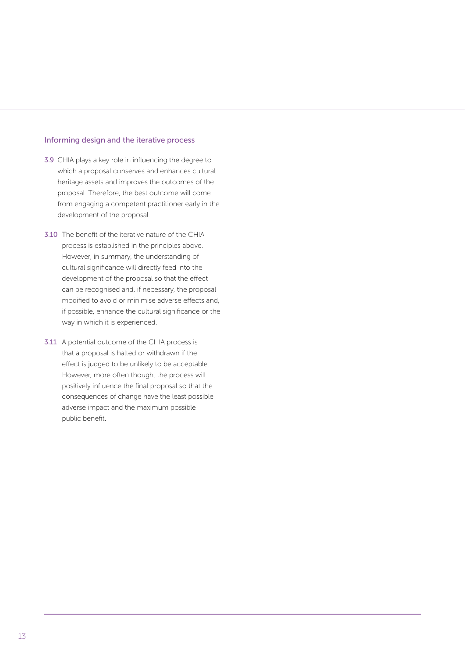#### Informing design and the iterative process

- 3.9 CHIA plays a key role in influencing the degree to which a proposal conserves and enhances cultural heritage assets and improves the outcomes of the proposal. Therefore, the best outcome will come from engaging a competent practitioner early in the development of the proposal.
- 3.10 The benefit of the iterative nature of the CHIA process is established in the principles above. However, in summary, the understanding of cultural significance will directly feed into the development of the proposal so that the effect can be recognised and, if necessary, the proposal modified to avoid or minimise adverse effects and, if possible, enhance the cultural significance or the way in which it is experienced.
- 3.11 A potential outcome of the CHIA process is that a proposal is halted or withdrawn if the effect is judged to be unlikely to be acceptable. However, more often though, the process will positively influence the final proposal so that the consequences of change have the least possible adverse impact and the maximum possible public benefit.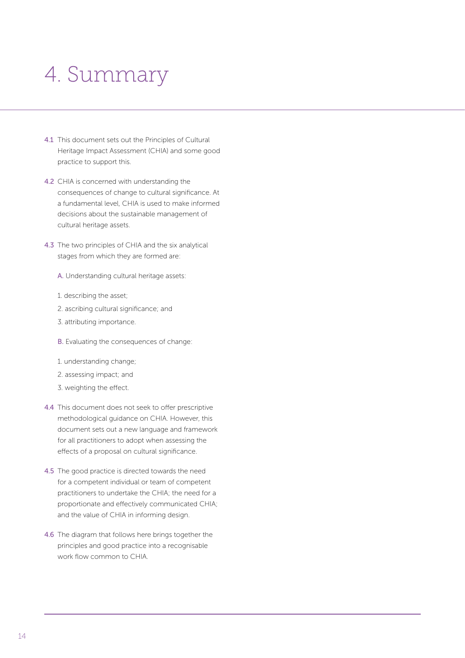### 4. Summary

- 4.1 This document sets out the Principles of Cultural Heritage Impact Assessment (CHIA) and some good practice to support this.
- 4.2 CHIA is concerned with understanding the consequences of change to cultural significance. At a fundamental level, CHIA is used to make informed decisions about the sustainable management of cultural heritage assets.
- 4.3 The two principles of CHIA and the six analytical stages from which they are formed are:
	- A. Understanding cultural heritage assets:
	- 1. describing the asset;
	- 2. ascribing cultural significance; and
	- 3. attributing importance.
	- B. Evaluating the consequences of change:
	- 1. understanding change;
	- 2. assessing impact; and
	- 3. weighting the effect.
- 4.4 This document does not seek to offer prescriptive methodological guidance on CHIA. However, this document sets out a new language and framework for all practitioners to adopt when assessing the effects of a proposal on cultural significance.
- 4.5 The good practice is directed towards the need for a competent individual or team of competent practitioners to undertake the CHIA; the need for a proportionate and effectively communicated CHIA; and the value of CHIA in informing design.
- 4.6 The diagram that follows here brings together the principles and good practice into a recognisable work flow common to CHIA.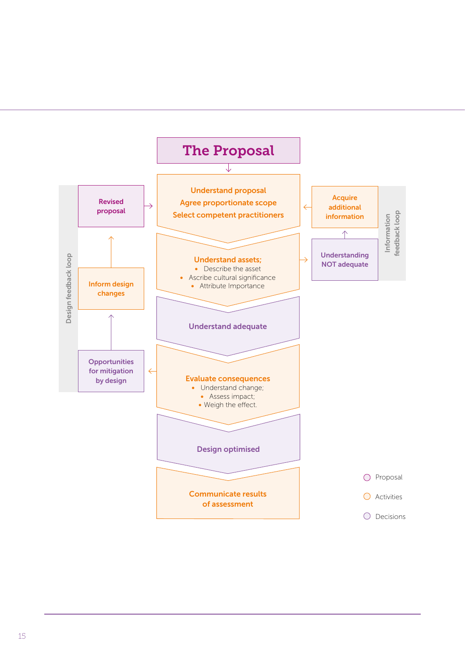